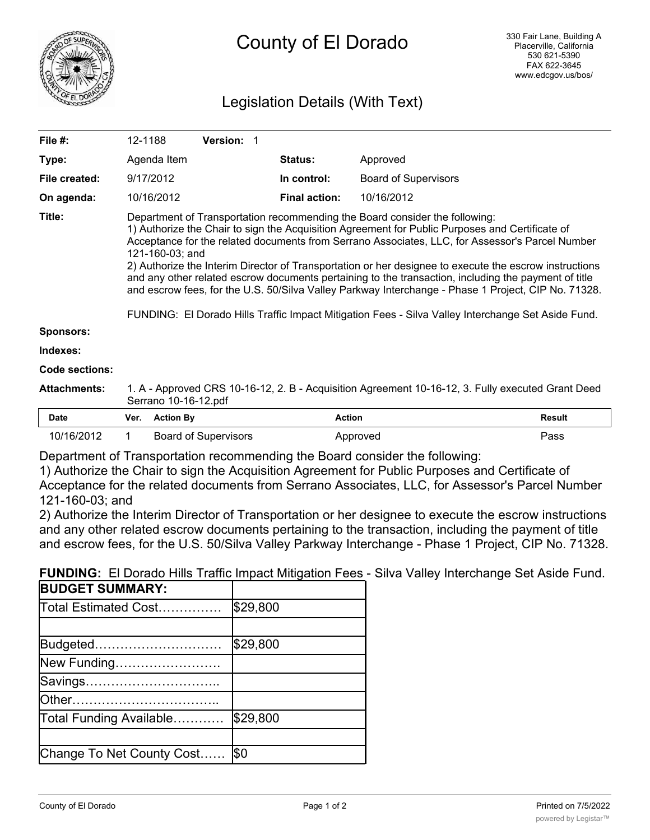

# Legislation Details (With Text)

| File #:             | 12-1188                                                                                                                                                                                                                                                                                                                                                                                                                                                                                                                                                                                                                                                                                                                             |                  | Version: 1                  |  |                      |                             |               |
|---------------------|-------------------------------------------------------------------------------------------------------------------------------------------------------------------------------------------------------------------------------------------------------------------------------------------------------------------------------------------------------------------------------------------------------------------------------------------------------------------------------------------------------------------------------------------------------------------------------------------------------------------------------------------------------------------------------------------------------------------------------------|------------------|-----------------------------|--|----------------------|-----------------------------|---------------|
| Type:               |                                                                                                                                                                                                                                                                                                                                                                                                                                                                                                                                                                                                                                                                                                                                     | Agenda Item      |                             |  | <b>Status:</b>       | Approved                    |               |
| File created:       |                                                                                                                                                                                                                                                                                                                                                                                                                                                                                                                                                                                                                                                                                                                                     | 9/17/2012        |                             |  | In control:          | <b>Board of Supervisors</b> |               |
| On agenda:          |                                                                                                                                                                                                                                                                                                                                                                                                                                                                                                                                                                                                                                                                                                                                     | 10/16/2012       |                             |  | <b>Final action:</b> | 10/16/2012                  |               |
| Title:              | Department of Transportation recommending the Board consider the following:<br>1) Authorize the Chair to sign the Acquisition Agreement for Public Purposes and Certificate of<br>Acceptance for the related documents from Serrano Associates, LLC, for Assessor's Parcel Number<br>121-160-03; and<br>2) Authorize the Interim Director of Transportation or her designee to execute the escrow instructions<br>and any other related escrow documents pertaining to the transaction, including the payment of title<br>and escrow fees, for the U.S. 50/Silva Valley Parkway Interchange - Phase 1 Project, CIP No. 71328.<br>FUNDING: El Dorado Hills Traffic Impact Mitigation Fees - Silva Valley Interchange Set Aside Fund. |                  |                             |  |                      |                             |               |
| <b>Sponsors:</b>    |                                                                                                                                                                                                                                                                                                                                                                                                                                                                                                                                                                                                                                                                                                                                     |                  |                             |  |                      |                             |               |
| Indexes:            |                                                                                                                                                                                                                                                                                                                                                                                                                                                                                                                                                                                                                                                                                                                                     |                  |                             |  |                      |                             |               |
| Code sections:      |                                                                                                                                                                                                                                                                                                                                                                                                                                                                                                                                                                                                                                                                                                                                     |                  |                             |  |                      |                             |               |
| <b>Attachments:</b> | 1. A - Approved CRS 10-16-12, 2. B - Acquisition Agreement 10-16-12, 3. Fully executed Grant Deed<br>Serrano 10-16-12.pdf                                                                                                                                                                                                                                                                                                                                                                                                                                                                                                                                                                                                           |                  |                             |  |                      |                             |               |
| <b>Date</b>         | Ver.                                                                                                                                                                                                                                                                                                                                                                                                                                                                                                                                                                                                                                                                                                                                | <b>Action By</b> |                             |  | <b>Action</b>        |                             | <b>Result</b> |
| 10/16/2012          |                                                                                                                                                                                                                                                                                                                                                                                                                                                                                                                                                                                                                                                                                                                                     |                  | <b>Board of Supervisors</b> |  |                      | Approved                    | Pass          |

Department of Transportation recommending the Board consider the following:

1) Authorize the Chair to sign the Acquisition Agreement for Public Purposes and Certificate of Acceptance for the related documents from Serrano Associates, LLC, for Assessor's Parcel Number 121-160-03; and

2) Authorize the Interim Director of Transportation or her designee to execute the escrow instructions and any other related escrow documents pertaining to the transaction, including the payment of title and escrow fees, for the U.S. 50/Silva Valley Parkway Interchange - Phase 1 Project, CIP No. 71328.

**FUNDING:** El Dorado Hills Traffic Impact Mitigation Fees - Silva Valley Interchange Set Aside Fund.

| <b>BUDGET SUMMARY:</b>    |          |
|---------------------------|----------|
| Total Estimated Cost      | \$29,800 |
|                           |          |
| Budgeted                  | \$29,800 |
| New Funding               |          |
| Savings                   |          |
| lOther                    |          |
| Total Funding Available   | \$29,800 |
|                           |          |
| Change To Net County Cost | l\$0     |